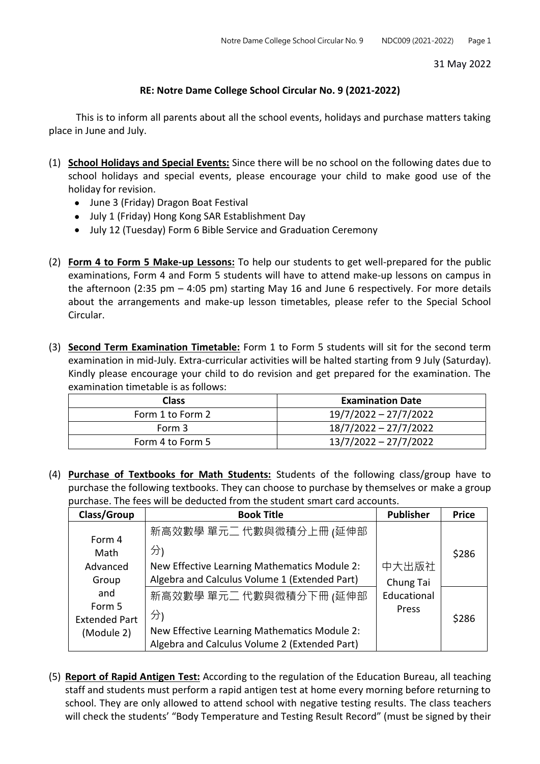31 May 2022

## **RE: Notre Dame College School Circular No. 9 (2021-2022)**

This is to inform all parents about all the school events, holidays and purchase matters taking place in June and July.

- (1) **School Holidays and Special Events:** Since there will be no school on the following dates due to school holidays and special events, please encourage your child to make good use of the holiday for revision.
	- June 3 (Friday) Dragon Boat Festival
	- July 1 (Friday) Hong Kong SAR Establishment Day
	- July 12 (Tuesday) Form 6 Bible Service and Graduation Ceremony
- (2) **Form 4 to Form 5 Make-up Lessons:** To help our students to get well-prepared for the public examinations, Form 4 and Form 5 students will have to attend make-up lessons on campus in the afternoon (2:35 pm – 4:05 pm) starting May 16 and June 6 respectively. For more details about the arrangements and make-up lesson timetables, please refer to the Special School Circular.
- (3) **Second Term Examination Timetable:** Form 1 to Form 5 students will sit for the second term examination in mid-July. Extra-curricular activities will be halted starting from 9 July (Saturday). Kindly please encourage your child to do revision and get prepared for the examination. The examination timetable is as follows:

| <b>Class</b>     | <b>Examination Date</b> |
|------------------|-------------------------|
| Form 1 to Form 2 | 19/7/2022 - 27/7/2022   |
| Form 3           | 18/7/2022 - 27/7/2022   |
| Form 4 to Form 5 | 13/7/2022 - 27/7/2022   |

(4) **Purchase of Textbooks for Math Students:** Students of the following class/group have to purchase the following textbooks. They can choose to purchase by themselves or make a group purchase. The fees will be deducted from the student smart card accounts.

| Class/Group          | <b>Book Title</b>                             | <b>Publisher</b> | <b>Price</b> |
|----------------------|-----------------------------------------------|------------------|--------------|
| Form 4               | 新高效數學 單元二 代數與微積分上冊 (延伸部                       |                  |              |
| Math                 | 分)                                            |                  | \$286        |
| Advanced             | New Effective Learning Mathematics Module 2:  | 中大出版社            |              |
| Group                | Algebra and Calculus Volume 1 (Extended Part) | Chung Tai        |              |
| and                  | 新高效數學 單元二 代數與微積分下冊 (延伸部                       | Educational      |              |
| Form 5               |                                               | Press            |              |
| <b>Extended Part</b> | 分)                                            |                  | \$286        |
| (Module 2)           | New Effective Learning Mathematics Module 2:  |                  |              |
|                      | Algebra and Calculus Volume 2 (Extended Part) |                  |              |

(5) **Report of Rapid Antigen Test:** According to the regulation of the Education Bureau, all teaching staff and students must perform a rapid antigen test at home every morning before returning to school. They are only allowed to attend school with negative testing results. The class teachers will check the students' "Body Temperature and Testing Result Record" (must be signed by their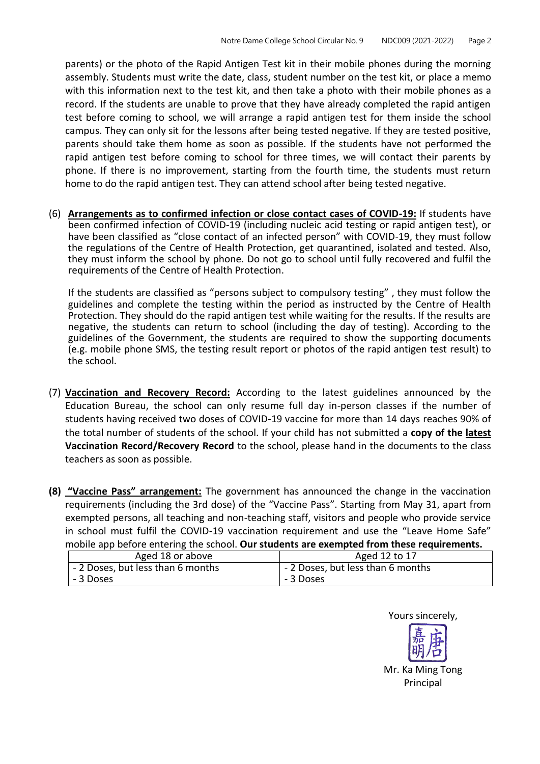parents) or the photo of the Rapid Antigen Test kit in their mobile phones during the morning assembly. Students must write the date, class, student number on the test kit, or place a memo with this information next to the test kit, and then take a photo with their mobile phones as a record. If the students are unable to prove that they have already completed the rapid antigen test before coming to school, we will arrange a rapid antigen test for them inside the school campus. They can only sit for the lessons after being tested negative. If they are tested positive, parents should take them home as soon as possible. If the students have not performed the rapid antigen test before coming to school for three times, we will contact their parents by phone. If there is no improvement, starting from the fourth time, the students must return home to do the rapid antigen test. They can attend school after being tested negative.

(6) **Arrangements as to confirmed infection or close contact cases of COVID-19:** If students have been confirmed infection of COVID-19 (including nucleic acid testing or rapid antigen test), or have been classified as "close contact of an infected person" with COVID-19, they must follow the regulations of the Centre of Health Protection, get quarantined, isolated and tested. Also, they must inform the school by phone. Do not go to school until fully recovered and fulfil the requirements of the Centre of Health Protection.

If the students are classified as "persons subject to compulsory testing" , they must follow the guidelines and complete the testing within the period as instructed by the Centre of Health Protection. They should do the rapid antigen test while waiting for the results. If the results are negative, the students can return to school (including the day of testing). According to the guidelines of the Government, the students are required to show the supporting documents (e.g. mobile phone SMS, the testing result report or photos of the rapid antigen test result) to the school.

- (7) **Vaccination and Recovery Record:** According to the latest guidelines announced by the Education Bureau, the school can only resume full day in-person classes if the number of students having received two doses of COVID-19 vaccine for more than 14 days reaches 90% of the total number of students of the school. If your child has not submitted a **copy of the latest Vaccination Record/Recovery Record** to the school, please hand in the documents to the class teachers as soon as possible.
- **(8) "Vaccine Pass" arrangement:** The government has announced the change in the vaccination requirements (including the 3rd dose) of the "Vaccine Pass". Starting from May 31, apart from exempted persons, all teaching and non-teaching staff, visitors and people who provide service in school must fulfil the COVID-19 vaccination requirement and use the "Leave Home Safe" mobile app before entering the school. **Our students are exempted from these requirements.**

| Aged 18 or above                  | Aged 12 to 17                     |
|-----------------------------------|-----------------------------------|
| - 2 Doses, but less than 6 months | - 2 Doses, but less than 6 months |
| - 3 Doses                         | - 3 Doses                         |

Yours sincerely,

Mr. Ka Ming Tong Principal